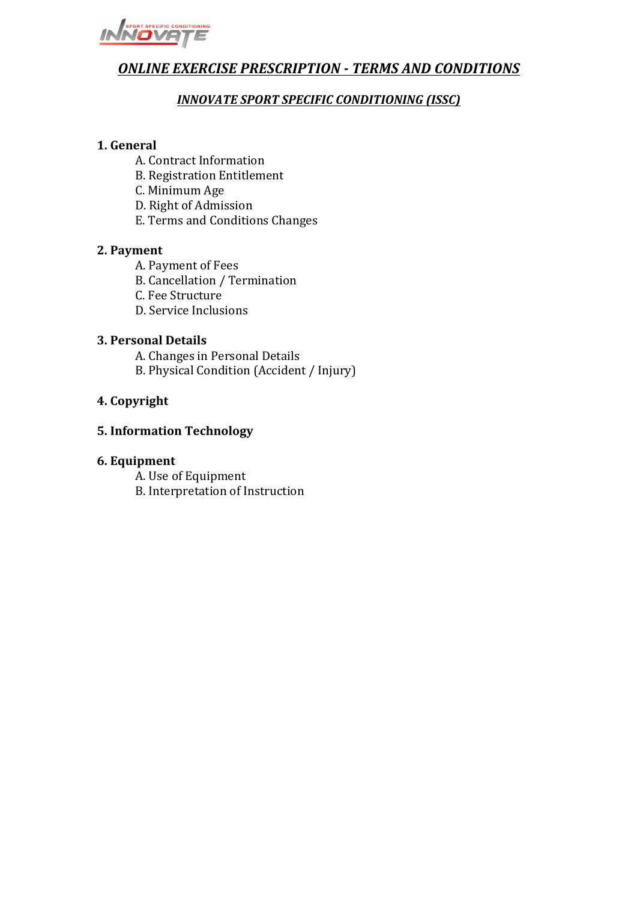

# **ONLINE EXERCISE PRESCRIPTION - TERMS AND CONDITIONS**

# **INNOVATE SPORT SPECIFIC CONDITIONING (ISSC)**

# **1. General**

- A. Contract Information
- B. Registration Entitlement
- C. Minimum Age
- D. Right of Admission
- E. Terms and Conditions Changes

# **2. Payment**

- A. Payment of Fees
- B. Cancellation / Termination
- C. Fee Structure
- D. Service Inclusions

# **3. Personal Details**

- A. Changes in Personal Details
- B. Physical Condition (Accident / Injury)

# **4. Copyright**

# **5. Information Technology**

# **6. Equipment**

A. Use of Equipment B. Interpretation of Instruction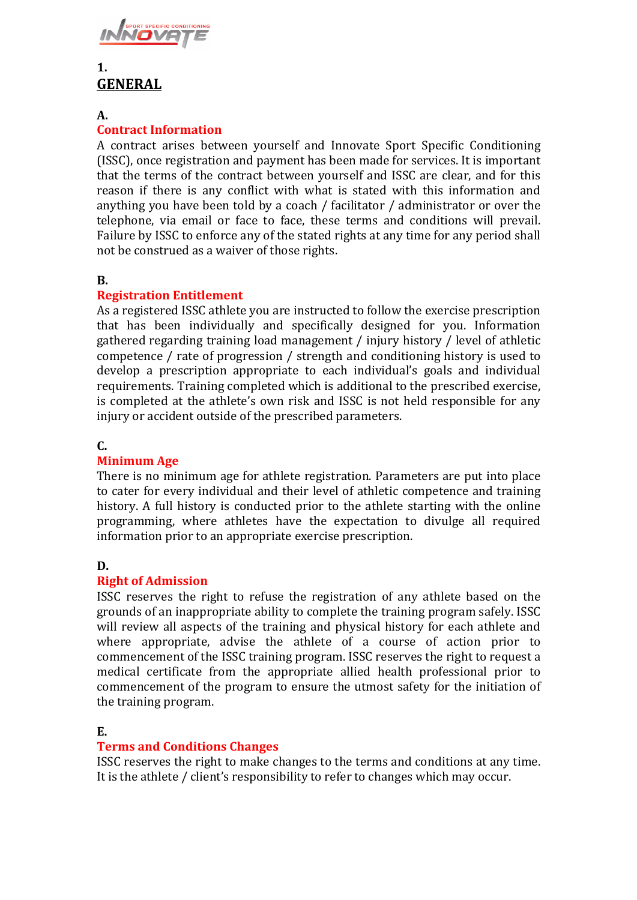

# $1<sup>1</sup>$ **GENERAL**

#### **A.**

# **Contract Information**

A contract arises between yourself and Innovate Sport Specific Conditioning (ISSC), once registration and payment has been made for services. It is important that the terms of the contract between yourself and ISSC are clear, and for this reason if there is any conflict with what is stated with this information and anything you have been told by a coach / facilitator / administrator or over the telephone, via email or face to face, these terms and conditions will prevail. Failure by ISSC to enforce any of the stated rights at any time for any period shall not be construed as a waiver of those rights.

#### **B.**

# **Registration Entitlement**

As a registered ISSC athlete you are instructed to follow the exercise prescription that has been individually and specifically designed for you. Information gathered regarding training load management / injury history / level of athletic competence / rate of progression / strength and conditioning history is used to develop a prescription appropriate to each individual's goals and individual requirements. Training completed which is additional to the prescribed exercise, is completed at the athlete's own risk and ISSC is not held responsible for any injury or accident outside of the prescribed parameters.

# **C.**

#### **Minimum Age**

There is no minimum age for athlete registration. Parameters are put into place to cater for every individual and their level of athletic competence and training history. A full history is conducted prior to the athlete starting with the online programming, where athletes have the expectation to divulge all required information prior to an appropriate exercise prescription.

# **D.**

# **Right of Admission**

ISSC reserves the right to refuse the registration of any athlete based on the grounds of an inappropriate ability to complete the training program safely. ISSC will review all aspects of the training and physical history for each athlete and where appropriate, advise the athlete of a course of action prior to commencement of the ISSC training program. ISSC reserves the right to request a medical certificate from the appropriate allied health professional prior to commencement of the program to ensure the utmost safety for the initiation of the training program.

# **E.**

# **Terms and Conditions Changes**

ISSC reserves the right to make changes to the terms and conditions at any time. It is the athlete / client's responsibility to refer to changes which may occur.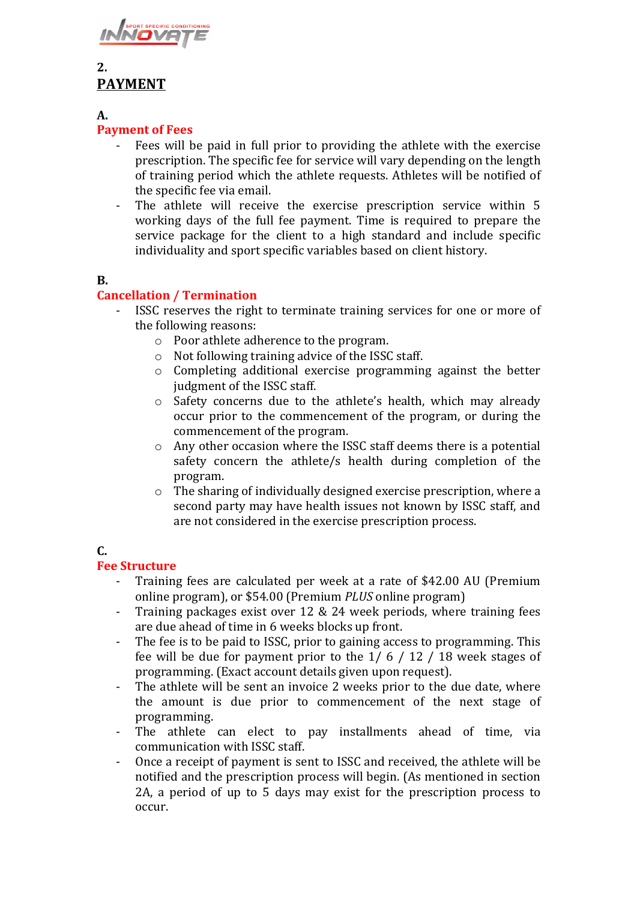

# **2. PAYMENT**

**A.** 

#### **Payment of Fees**

- Fees will be paid in full prior to providing the athlete with the exercise prescription. The specific fee for service will vary depending on the length of training period which the athlete requests. Athletes will be notified of the specific fee via email.
- The athlete will receive the exercise prescription service within 5 working days of the full fee payment. Time is required to prepare the service package for the client to a high standard and include specific individuality and sport specific variables based on client history.

#### **B.**

# **Cancellation / Termination**

- ISSC reserves the right to terminate training services for one or more of the following reasons:
	- $\circ$  Poor athlete adherence to the program.
	- $\circ$  Not following training advice of the ISSC staff.
	- $\circ$  Completing additional exercise programming against the better judgment of the ISSC staff.
	- $\circ$  Safety concerns due to the athlete's health, which may already occur prior to the commencement of the program, or during the commencement of the program.
	- $\circ$  Any other occasion where the ISSC staff deems there is a potential safety concern the athlete/s health during completion of the program.
	- $\circ$  The sharing of individually designed exercise prescription, where a second party may have health issues not known by ISSC staff, and are not considered in the exercise prescription process.

# **C.**

# **Fee Structure**

- Training fees are calculated per week at a rate of \$42.00 AU (Premium online program), or \$54.00 (Premium *PLUS* online program)
- Training packages exist over  $12 \& 24$  week periods, where training fees are due ahead of time in 6 weeks blocks up front.
- The fee is to be paid to ISSC, prior to gaining access to programming. This fee will be due for payment prior to the  $1/6/12/18$  week stages of programming. (Exact account details given upon request).
- The athlete will be sent an invoice 2 weeks prior to the due date, where the amount is due prior to commencement of the next stage of programming.
- The athlete can elect to pay installments ahead of time, via communication with ISSC staff.
- Once a receipt of payment is sent to ISSC and received, the athlete will be notified and the prescription process will begin. (As mentioned in section 2A, a period of up to 5 days may exist for the prescription process to occur.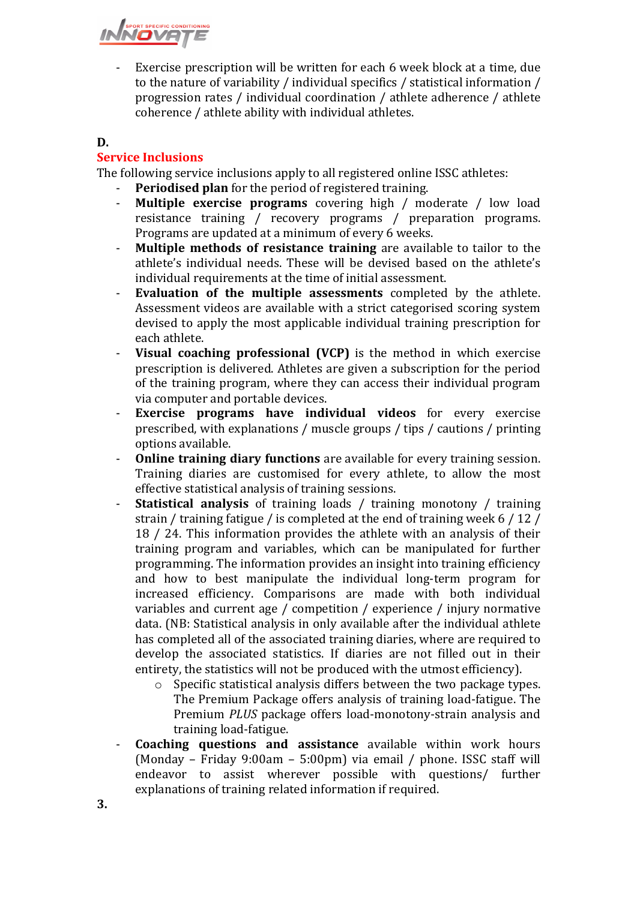

Exercise prescription will be written for each 6 week block at a time, due to the nature of variability / individual specifics / statistical information / progression rates  $\ell$  individual coordination  $\ell$  athlete adherence  $\ell$  athlete coherence / athlete ability with individual athletes.

#### **D.**

# **Service Inclusions**

The following service inclusions apply to all registered online ISSC athletes:

- **Periodised plan** for the period of registered training.
- **Multiple exercise programs** covering high / moderate / low load resistance training / recovery programs / preparation programs. Programs are updated at a minimum of every 6 weeks.
- **Multiple methods of resistance training** are available to tailor to the athlete's individual needs. These will be devised based on the athlete's individual requirements at the time of initial assessment.
- **Evaluation of the multiple assessments** completed by the athlete. Assessment videos are available with a strict categorised scoring system devised to apply the most applicable individual training prescription for each athlete.
- **Visual coaching professional (VCP)** is the method in which exercise prescription is delivered. Athletes are given a subscription for the period of the training program, where they can access their individual program via computer and portable devices.
- **Exercise programs have individual videos** for every exercise prescribed, with explanations  $/$  muscle groups  $/$  tips  $/$  cautions  $/$  printing options available.
- **Online training diary functions** are available for every training session. Training diaries are customised for every athlete, to allow the most effective statistical analysis of training sessions.
- **Statistical analysis** of training loads / training monotony / training strain / training fatigue / is completed at the end of training week  $6/12/$ 18 / 24. This information provides the athlete with an analysis of their training program and variables, which can be manipulated for further programming. The information provides an insight into training efficiency and how to best manipulate the individual long-term program for increased efficiency. Comparisons are made with both individual variables and current age / competition / experience / injury normative data. (NB: Statistical analysis in only available after the individual athlete has completed all of the associated training diaries, where are required to develop the associated statistics. If diaries are not filled out in their entirety, the statistics will not be produced with the utmost efficiency).
	- $\circ$  Specific statistical analysis differs between the two package types. The Premium Package offers analysis of training load-fatigue. The Premium *PLUS* package offers load-monotony-strain analysis and training load-fatigue.
- **Coaching questions and assistance** available within work hours (Monday – Friday 9:00am – 5:00pm) via email / phone. ISSC staff will endeavor to assist wherever possible with questions/ further explanations of training related information if required.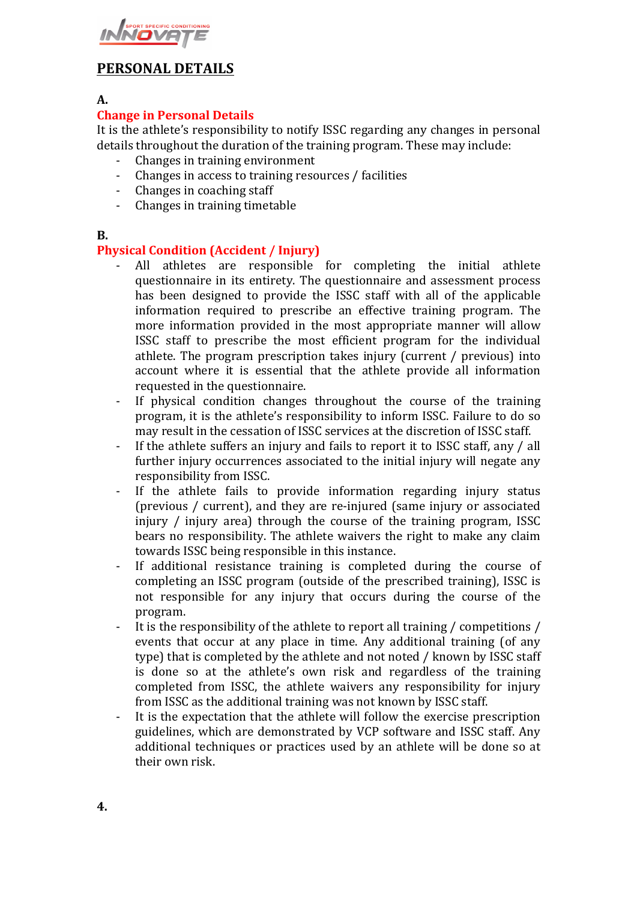

# **PERSONAL DETAILS**

#### **A.**

### **Change in Personal Details**

It is the athlete's responsibility to notify ISSC regarding any changes in personal details throughout the duration of the training program. These may include:

- Changes in training environment
- Changes in access to training resources / facilities
- Changes in coaching staff
- Changes in training timetable

#### **B.**

#### **Physical Condition (Accident / Injury)**

- All athletes are responsible for completing the initial athlete questionnaire in its entirety. The questionnaire and assessment process has been designed to provide the ISSC staff with all of the applicable information required to prescribe an effective training program. The more information provided in the most appropriate manner will allow ISSC staff to prescribe the most efficient program for the individual athlete. The program prescription takes injury (current / previous) into account where it is essential that the athlete provide all information requested in the questionnaire.
- If physical condition changes throughout the course of the training program, it is the athlete's responsibility to inform ISSC. Failure to do so may result in the cessation of ISSC services at the discretion of ISSC staff.
- If the athlete suffers an injury and fails to report it to ISSC staff, any / all further injury occurrences associated to the initial injury will negate any responsibility from ISSC.
- If the athlete fails to provide information regarding injury status (previous / current), and they are re-injured (same injury or associated injury  $\ell$  injury area) through the course of the training program, ISSC bears no responsibility. The athlete waivers the right to make any claim towards ISSC being responsible in this instance.
- If additional resistance training is completed during the course of completing an ISSC program (outside of the prescribed training), ISSC is not responsible for any injury that occurs during the course of the program.
- It is the responsibility of the athlete to report all training  $\ell$  competitions  $\ell$ events that occur at any place in time. Any additional training (of any type) that is completed by the athlete and not noted / known by ISSC staff is done so at the athlete's own risk and regardless of the training completed from ISSC, the athlete waivers any responsibility for injury from ISSC as the additional training was not known by ISSC staff.
- It is the expectation that the athlete will follow the exercise prescription guidelines, which are demonstrated by VCP software and ISSC staff. Any additional techniques or practices used by an athlete will be done so at their own risk.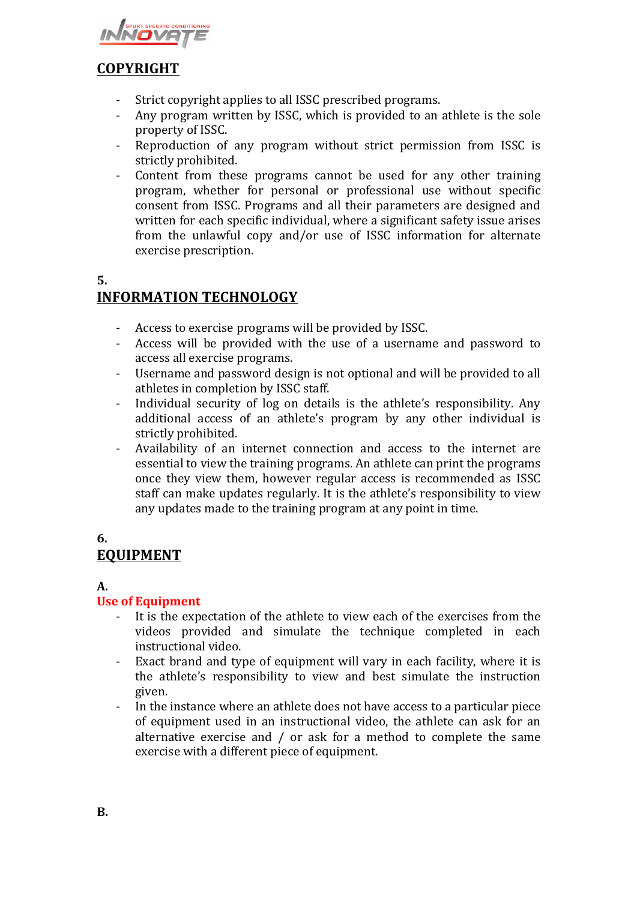

# **COPYRIGHT**

- Strict copyright applies to all ISSC prescribed programs.
- Any program written by ISSC, which is provided to an athlete is the sole property of ISSC.
- Reproduction of any program without strict permission from ISSC is strictly prohibited.
- Content from these programs cannot be used for any other training program, whether for personal or professional use without specific consent from ISSC. Programs and all their parameters are designed and written for each specific individual, where a significant safety issue arises from the unlawful copy and/or use of ISSC information for alternate exercise prescription.

#### **5.**

# **INFORMATION TECHNOLOGY**

- Access to exercise programs will be provided by ISSC.
- Access will be provided with the use of a username and password to access all exercise programs.
- Username and password design is not optional and will be provided to all athletes in completion by ISSC staff.
- Individual security of log on details is the athlete's responsibility. Any additional access of an athlete's program by any other individual is strictly prohibited.
- Availability of an internet connection and access to the internet are essential to view the training programs. An athlete can print the programs once they view them, however regular access is recommended as ISSC staff can make updates regularly. It is the athlete's responsibility to view any updates made to the training program at any point in time.

# **6. EQUIPMENT**

# **A.**

# **Use of Equipment**

- It is the expectation of the athlete to view each of the exercises from the videos provided and simulate the technique completed in each instructional video.
- Exact brand and type of equipment will vary in each facility, where it is the athlete's responsibility to view and best simulate the instruction given.
- In the instance where an athlete does not have access to a particular piece of equipment used in an instructional video, the athlete can ask for an alternative exercise and  $/$  or ask for a method to complete the same exercise with a different piece of equipment.